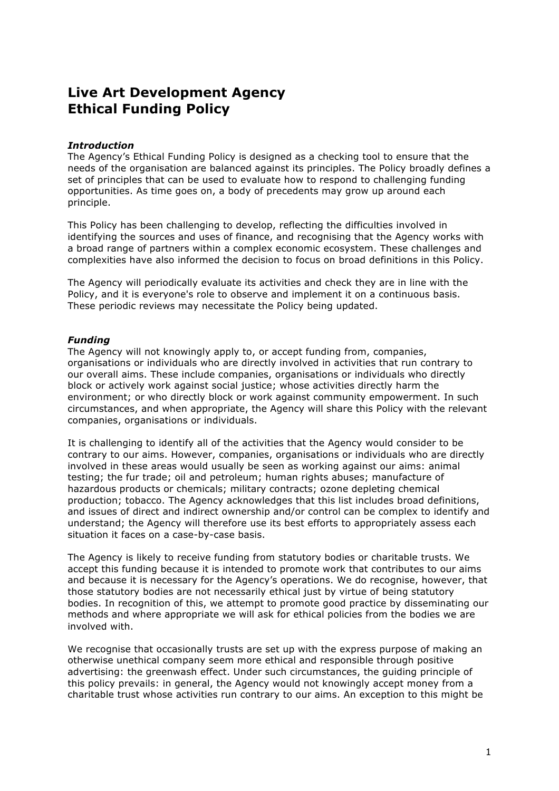# **Live Art Development Agency Ethical Funding Policy**

## *Introduction*

The Agency's Ethical Funding Policy is designed as a checking tool to ensure that the needs of the organisation are balanced against its principles. The Policy broadly defines a set of principles that can be used to evaluate how to respond to challenging funding opportunities. As time goes on, a body of precedents may grow up around each principle.

This Policy has been challenging to develop, reflecting the difficulties involved in identifying the sources and uses of finance, and recognising that the Agency works with a broad range of partners within a complex economic ecosystem. These challenges and complexities have also informed the decision to focus on broad definitions in this Policy.

The Agency will periodically evaluate its activities and check they are in line with the Policy, and it is everyone's role to observe and implement it on a continuous basis. These periodic reviews may necessitate the Policy being updated.

### *Funding*

The Agency will not knowingly apply to, or accept funding from, companies, organisations or individuals who are directly involved in activities that run contrary to our overall aims. These include companies, organisations or individuals who directly block or actively work against social justice; whose activities directly harm the environment; or who directly block or work against community empowerment. In such circumstances, and when appropriate, the Agency will share this Policy with the relevant companies, organisations or individuals.

It is challenging to identify all of the activities that the Agency would consider to be contrary to our aims. However, companies, organisations or individuals who are directly involved in these areas would usually be seen as working against our aims: animal testing; the fur trade; oil and petroleum; human rights abuses; manufacture of hazardous products or chemicals; military contracts; ozone depleting chemical production; tobacco. The Agency acknowledges that this list includes broad definitions, and issues of direct and indirect ownership and/or control can be complex to identify and understand; the Agency will therefore use its best efforts to appropriately assess each situation it faces on a case-by-case basis.

The Agency is likely to receive funding from statutory bodies or charitable trusts. We accept this funding because it is intended to promote work that contributes to our aims and because it is necessary for the Agency's operations. We do recognise, however, that those statutory bodies are not necessarily ethical just by virtue of being statutory bodies. In recognition of this, we attempt to promote good practice by disseminating our methods and where appropriate we will ask for ethical policies from the bodies we are involved with.

We recognise that occasionally trusts are set up with the express purpose of making an otherwise unethical company seem more ethical and responsible through positive advertising: the greenwash effect. Under such circumstances, the guiding principle of this policy prevails: in general, the Agency would not knowingly accept money from a charitable trust whose activities run contrary to our aims. An exception to this might be